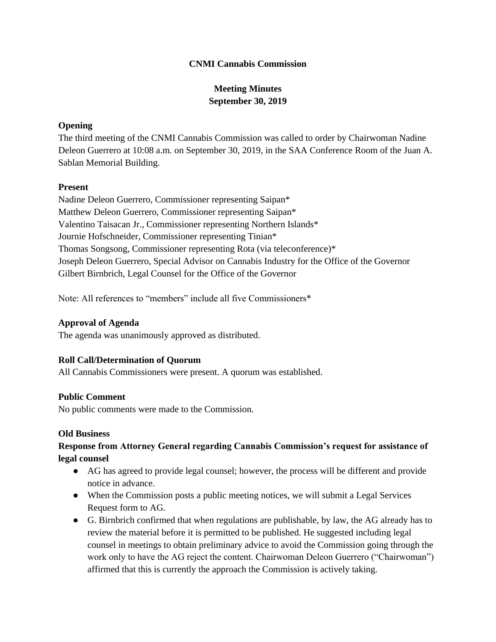#### **CNMI Cannabis Commission**

# **Meeting Minutes September 30, 2019**

### **Opening**

The third meeting of the CNMI Cannabis Commission was called to order by Chairwoman Nadine Deleon Guerrero at 10:08 a.m. on September 30, 2019, in the SAA Conference Room of the Juan A. Sablan Memorial Building.

#### **Present**

Nadine Deleon Guerrero, Commissioner representing Saipan\* Matthew Deleon Guerrero, Commissioner representing Saipan\* Valentino Taisacan Jr., Commissioner representing Northern Islands\* Journie Hofschneider, Commissioner representing Tinian\* Thomas Songsong, Commissioner representing Rota (via teleconference)\* Joseph Deleon Guerrero, Special Advisor on Cannabis Industry for the Office of the Governor Gilbert Birnbrich, Legal Counsel for the Office of the Governor

Note: All references to "members" include all five Commissioners\*

### **Approval of Agenda**

The agenda was unanimously approved as distributed.

### **Roll Call/Determination of Quorum**

All Cannabis Commissioners were present. A quorum was established.

### **Public Comment**

No public comments were made to the Commission.

### **Old Business**

### **Response from Attorney General regarding Cannabis Commission's request for assistance of legal counsel**

- AG has agreed to provide legal counsel; however, the process will be different and provide notice in advance.
- When the Commission posts a public meeting notices, we will submit a Legal Services Request form to AG.
- G. Birnbrich confirmed that when regulations are publishable, by law, the AG already has to review the material before it is permitted to be published. He suggested including legal counsel in meetings to obtain preliminary advice to avoid the Commission going through the work only to have the AG reject the content. Chairwoman Deleon Guerrero ("Chairwoman") affirmed that this is currently the approach the Commission is actively taking.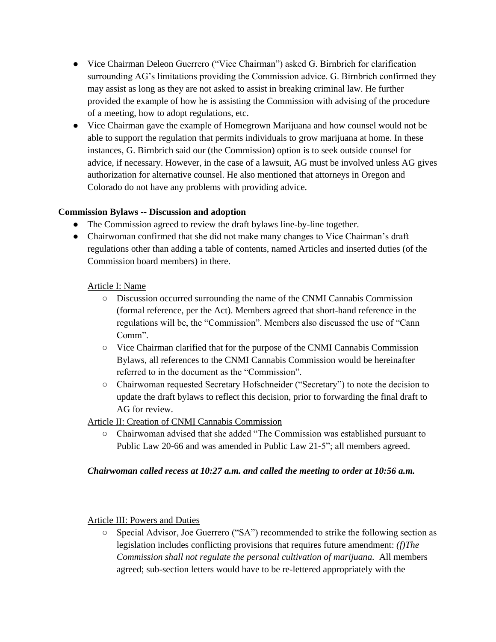- Vice Chairman Deleon Guerrero ("Vice Chairman") asked G. Birnbrich for clarification surrounding AG's limitations providing the Commission advice. G. Birnbrich confirmed they may assist as long as they are not asked to assist in breaking criminal law. He further provided the example of how he is assisting the Commission with advising of the procedure of a meeting, how to adopt regulations, etc.
- Vice Chairman gave the example of Homegrown Marijuana and how counsel would not be able to support the regulation that permits individuals to grow marijuana at home. In these instances, G. Birnbrich said our (the Commission) option is to seek outside counsel for advice, if necessary. However, in the case of a lawsuit, AG must be involved unless AG gives authorization for alternative counsel. He also mentioned that attorneys in Oregon and Colorado do not have any problems with providing advice.

### **Commission Bylaws -- Discussion and adoption**

- The Commission agreed to review the draft bylaws line-by-line together.
- Chairwoman confirmed that she did not make many changes to Vice Chairman's draft regulations other than adding a table of contents, named Articles and inserted duties (of the Commission board members) in there.

### Article I: Name

- Discussion occurred surrounding the name of the CNMI Cannabis Commission (formal reference, per the Act). Members agreed that short-hand reference in the regulations will be, the "Commission". Members also discussed the use of "Cann Comm".
- Vice Chairman clarified that for the purpose of the CNMI Cannabis Commission Bylaws, all references to the CNMI Cannabis Commission would be hereinafter referred to in the document as the "Commission".
- Chairwoman requested Secretary Hofschneider ("Secretary") to note the decision to update the draft bylaws to reflect this decision, prior to forwarding the final draft to AG for review.

## Article II: Creation of CNMI Cannabis Commission

○ Chairwoman advised that she added "The Commission was established pursuant to Public Law 20-66 and was amended in Public Law 21-5"; all members agreed.

### *Chairwoman called recess at 10:27 a.m. and called the meeting to order at 10:56 a.m.*

### Article III: Powers and Duties

○ Special Advisor, Joe Guerrero ("SA") recommended to strike the following section as legislation includes conflicting provisions that requires future amendment: *(f)The Commission shall not regulate the personal cultivation of marijuana.* All members agreed; sub-section letters would have to be re-lettered appropriately with the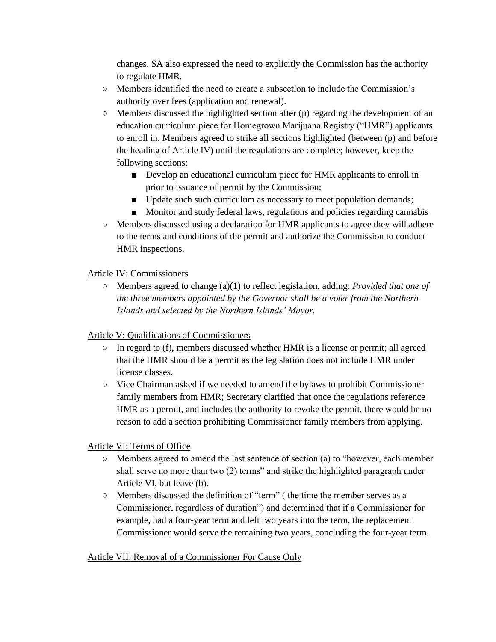changes. SA also expressed the need to explicitly the Commission has the authority to regulate HMR.

- Members identified the need to create a subsection to include the Commission's authority over fees (application and renewal).
- $\circ$  Members discussed the highlighted section after (p) regarding the development of an education curriculum piece for Homegrown Marijuana Registry ("HMR") applicants to enroll in. Members agreed to strike all sections highlighted (between (p) and before the heading of Article IV) until the regulations are complete; however, keep the following sections:
	- Develop an educational curriculum piece for HMR applicants to enroll in prior to issuance of permit by the Commission;
	- Update such such curriculum as necessary to meet population demands;
	- Monitor and study federal laws, regulations and policies regarding cannabis
- Members discussed using a declaration for HMR applicants to agree they will adhere to the terms and conditions of the permit and authorize the Commission to conduct HMR inspections.

## Article IV: Commissioners

○ Members agreed to change (a)(1) to reflect legislation, adding: *Provided that one of the three members appointed by the Governor shall be a voter from the Northern Islands and selected by the Northern Islands' Mayor.* 

## Article V: Qualifications of Commissioners

- In regard to (f), members discussed whether HMR is a license or permit; all agreed that the HMR should be a permit as the legislation does not include HMR under license classes.
- Vice Chairman asked if we needed to amend the bylaws to prohibit Commissioner family members from HMR; Secretary clarified that once the regulations reference HMR as a permit, and includes the authority to revoke the permit, there would be no reason to add a section prohibiting Commissioner family members from applying.

## Article VI: Terms of Office

- Members agreed to amend the last sentence of section (a) to "however, each member shall serve no more than two (2) terms" and strike the highlighted paragraph under Article VI, but leave (b).
- Members discussed the definition of "term" ( the time the member serves as a Commissioner, regardless of duration") and determined that if a Commissioner for example, had a four-year term and left two years into the term, the replacement Commissioner would serve the remaining two years, concluding the four-year term.

## Article VII: Removal of a Commissioner For Cause Only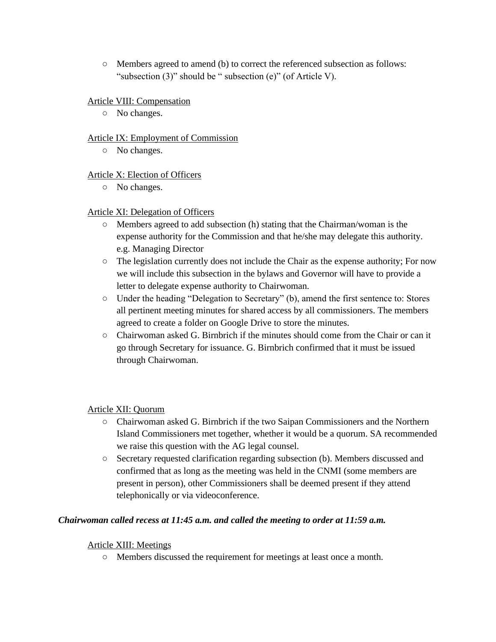○ Members agreed to amend (b) to correct the referenced subsection as follows: "subsection (3)" should be " subsection (e)" (of Article V).

### Article VIII: Compensation

○ No changes.

### Article IX: Employment of Commission

○ No changes.

### Article X: Election of Officers

○ No changes.

### Article XI: Delegation of Officers

- $\circ$  Members agreed to add subsection (h) stating that the Chairman/woman is the expense authority for the Commission and that he/she may delegate this authority. e.g. Managing Director
- The legislation currently does not include the Chair as the expense authority; For now we will include this subsection in the bylaws and Governor will have to provide a letter to delegate expense authority to Chairwoman.
- Under the heading "Delegation to Secretary" (b), amend the first sentence to: Stores all pertinent meeting minutes for shared access by all commissioners. The members agreed to create a folder on Google Drive to store the minutes.
- $\circ$  Chairwoman asked G. Birnbrich if the minutes should come from the Chair or can it go through Secretary for issuance. G. Birnbrich confirmed that it must be issued through Chairwoman.

### Article XII: Quorum

- Chairwoman asked G. Birnbrich if the two Saipan Commissioners and the Northern Island Commissioners met together, whether it would be a quorum. SA recommended we raise this question with the AG legal counsel.
- Secretary requested clarification regarding subsection (b). Members discussed and confirmed that as long as the meeting was held in the CNMI (some members are present in person), other Commissioners shall be deemed present if they attend telephonically or via videoconference.

### *Chairwoman called recess at 11:45 a.m. and called the meeting to order at 11:59 a.m.*

### Article XIII: Meetings

○ Members discussed the requirement for meetings at least once a month.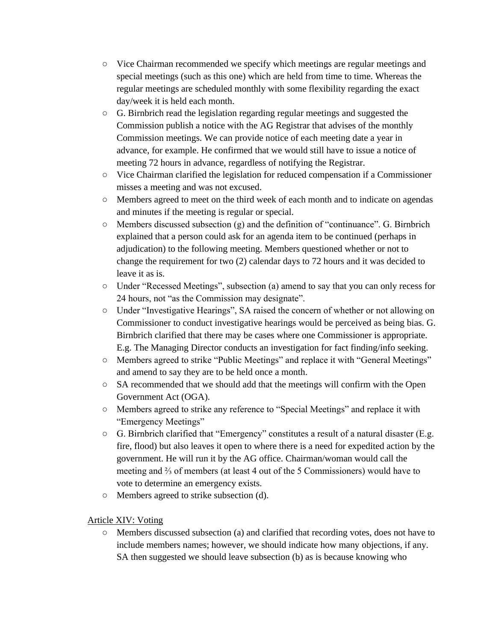- Vice Chairman recommended we specify which meetings are regular meetings and special meetings (such as this one) which are held from time to time. Whereas the regular meetings are scheduled monthly with some flexibility regarding the exact day/week it is held each month.
- G. Birnbrich read the legislation regarding regular meetings and suggested the Commission publish a notice with the AG Registrar that advises of the monthly Commission meetings. We can provide notice of each meeting date a year in advance, for example. He confirmed that we would still have to issue a notice of meeting 72 hours in advance, regardless of notifying the Registrar.
- Vice Chairman clarified the legislation for reduced compensation if a Commissioner misses a meeting and was not excused.
- Members agreed to meet on the third week of each month and to indicate on agendas and minutes if the meeting is regular or special.
- $\circ$  Members discussed subsection (g) and the definition of "continuance". G. Birnbrich explained that a person could ask for an agenda item to be continued (perhaps in adjudication) to the following meeting. Members questioned whether or not to change the requirement for two (2) calendar days to 72 hours and it was decided to leave it as is.
- Under "Recessed Meetings", subsection (a) amend to say that you can only recess for 24 hours, not "as the Commission may designate".
- Under "Investigative Hearings", SA raised the concern of whether or not allowing on Commissioner to conduct investigative hearings would be perceived as being bias. G. Birnbrich clarified that there may be cases where one Commissioner is appropriate. E.g. The Managing Director conducts an investigation for fact finding/info seeking.
- Members agreed to strike "Public Meetings" and replace it with "General Meetings" and amend to say they are to be held once a month.
- $\circ$  SA recommended that we should add that the meetings will confirm with the Open Government Act (OGA).
- Members agreed to strike any reference to "Special Meetings" and replace it with "Emergency Meetings"
- $\circ$  G. Birnbrich clarified that "Emergency" constitutes a result of a natural disaster (E.g. fire, flood) but also leaves it open to where there is a need for expedited action by the government. He will run it by the AG office. Chairman/woman would call the meeting and ⅔ of members (at least 4 out of the 5 Commissioners) would have to vote to determine an emergency exists.
- Members agreed to strike subsection (d).

## Article XIV: Voting

○ Members discussed subsection (a) and clarified that recording votes, does not have to include members names; however, we should indicate how many objections, if any. SA then suggested we should leave subsection (b) as is because knowing who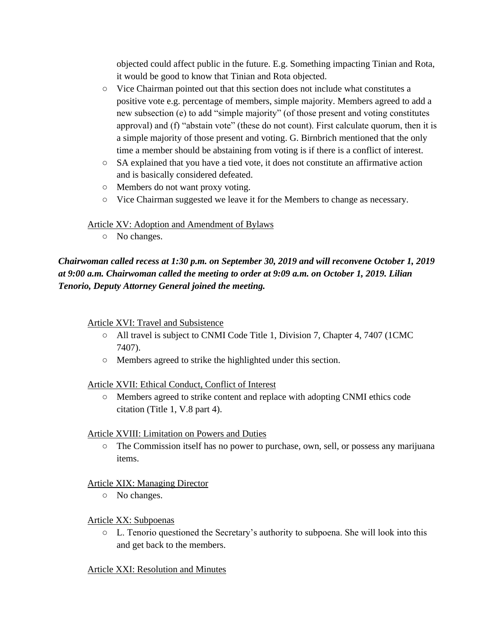objected could affect public in the future. E.g. Something impacting Tinian and Rota, it would be good to know that Tinian and Rota objected.

- Vice Chairman pointed out that this section does not include what constitutes a positive vote e.g. percentage of members, simple majority. Members agreed to add a new subsection (e) to add "simple majority" (of those present and voting constitutes approval) and (f) "abstain vote" (these do not count). First calculate quorum, then it is a simple majority of those present and voting. G. Birnbrich mentioned that the only time a member should be abstaining from voting is if there is a conflict of interest.
- SA explained that you have a tied vote, it does not constitute an affirmative action and is basically considered defeated.
- Members do not want proxy voting.
- Vice Chairman suggested we leave it for the Members to change as necessary.

### Article XV: Adoption and Amendment of Bylaws

○ No changes.

*Chairwoman called recess at 1:30 p.m. on September 30, 2019 and will reconvene October 1, 2019 at 9:00 a.m. Chairwoman called the meeting to order at 9:09 a.m. on October 1, 2019. Lilian Tenorio, Deputy Attorney General joined the meeting.*

### Article XVI: Travel and Subsistence

- All travel is subject to CNMI Code Title 1, Division 7, Chapter 4, 7407 (1CMC 7407).
- Members agreed to strike the highlighted under this section.

### Article XVII: Ethical Conduct, Conflict of Interest

○ Members agreed to strike content and replace with adopting CNMI ethics code citation (Title 1, V.8 part 4).

### Article XVIII: Limitation on Powers and Duties

○ The Commission itself has no power to purchase, own, sell, or possess any marijuana items.

## Article XIX: Managing Director

○ No changes.

### Article XX: Subpoenas

 $\circ$  L. Tenorio questioned the Secretary's authority to subpoena. She will look into this and get back to the members.

### Article XXI: Resolution and Minutes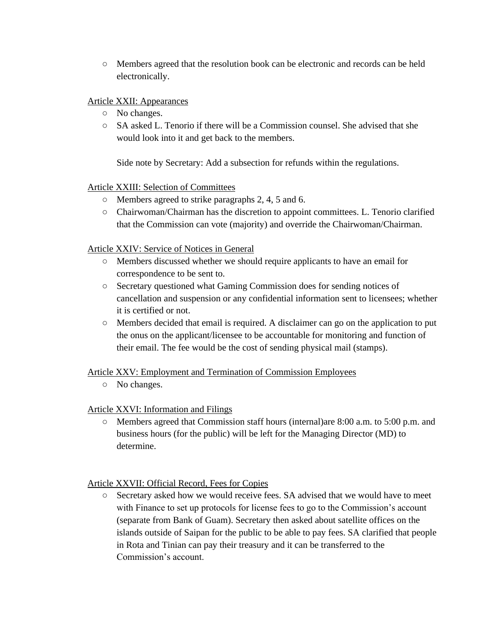○ Members agreed that the resolution book can be electronic and records can be held electronically.

### Article XXII: Appearances

- No changes.
- $\circ$  SA asked L. Tenorio if there will be a Commission counsel. She advised that she would look into it and get back to the members.

Side note by Secretary: Add a subsection for refunds within the regulations.

### Article XXIII: Selection of Committees

- Members agreed to strike paragraphs 2, 4, 5 and 6.
- Chairwoman/Chairman has the discretion to appoint committees. L. Tenorio clarified that the Commission can vote (majority) and override the Chairwoman/Chairman.

### Article XXIV: Service of Notices in General

- Members discussed whether we should require applicants to have an email for correspondence to be sent to.
- Secretary questioned what Gaming Commission does for sending notices of cancellation and suspension or any confidential information sent to licensees; whether it is certified or not.
- Members decided that email is required. A disclaimer can go on the application to put the onus on the applicant/licensee to be accountable for monitoring and function of their email. The fee would be the cost of sending physical mail (stamps).

## Article XXV: Employment and Termination of Commission Employees

○ No changes.

## Article XXVI: Information and Filings

○ Members agreed that Commission staff hours (internal)are 8:00 a.m. to 5:00 p.m. and business hours (for the public) will be left for the Managing Director (MD) to determine.

### Article XXVII: Official Record, Fees for Copies

○ Secretary asked how we would receive fees. SA advised that we would have to meet with Finance to set up protocols for license fees to go to the Commission's account (separate from Bank of Guam). Secretary then asked about satellite offices on the islands outside of Saipan for the public to be able to pay fees. SA clarified that people in Rota and Tinian can pay their treasury and it can be transferred to the Commission's account.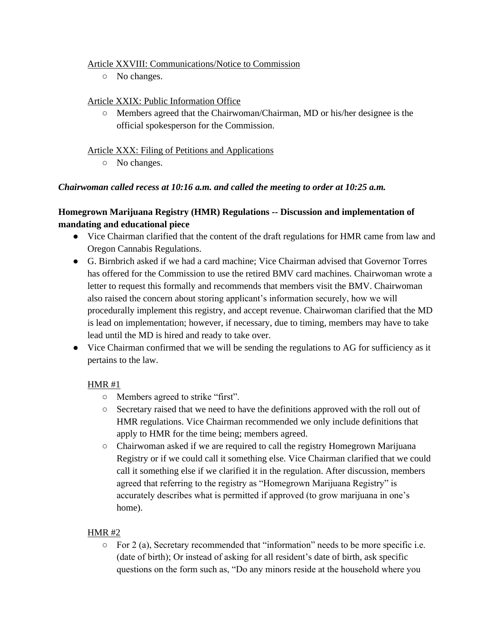### Article XXVIII: Communications/Notice to Commission

○ No changes.

### Article XXIX: Public Information Office

 $\circ$  Members agreed that the Chairwoman/Chairman, MD or his/her designee is the official spokesperson for the Commission.

### Article XXX: Filing of Petitions and Applications

○ No changes.

### *Chairwoman called recess at 10:16 a.m. and called the meeting to order at 10:25 a.m.*

## **Homegrown Marijuana Registry (HMR) Regulations -- Discussion and implementation of mandating and educational piece**

- Vice Chairman clarified that the content of the draft regulations for HMR came from law and Oregon Cannabis Regulations.
- G. Birnbrich asked if we had a card machine; Vice Chairman advised that Governor Torres has offered for the Commission to use the retired BMV card machines. Chairwoman wrote a letter to request this formally and recommends that members visit the BMV. Chairwoman also raised the concern about storing applicant's information securely, how we will procedurally implement this registry, and accept revenue. Chairwoman clarified that the MD is lead on implementation; however, if necessary, due to timing, members may have to take lead until the MD is hired and ready to take over.
- Vice Chairman confirmed that we will be sending the regulations to AG for sufficiency as it pertains to the law.

## HMR #1

- Members agreed to strike "first".
- Secretary raised that we need to have the definitions approved with the roll out of HMR regulations. Vice Chairman recommended we only include definitions that apply to HMR for the time being; members agreed.
- Chairwoman asked if we are required to call the registry Homegrown Marijuana Registry or if we could call it something else. Vice Chairman clarified that we could call it something else if we clarified it in the regulation. After discussion, members agreed that referring to the registry as "Homegrown Marijuana Registry" is accurately describes what is permitted if approved (to grow marijuana in one's home).

## HMR #2

 $\circ$  For 2 (a), Secretary recommended that "information" needs to be more specific i.e. (date of birth); Or instead of asking for all resident's date of birth, ask specific questions on the form such as, "Do any minors reside at the household where you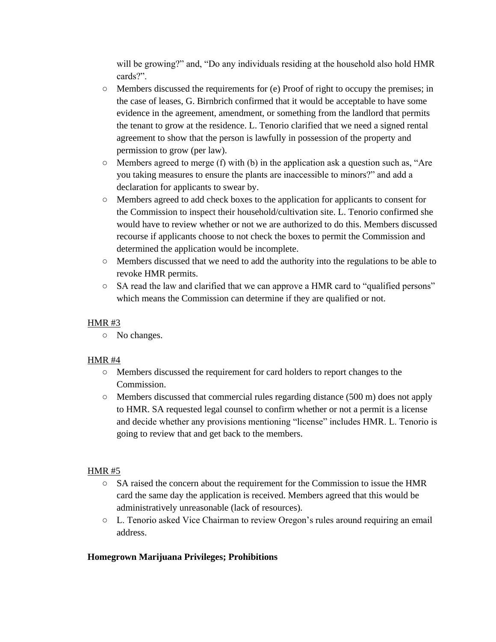will be growing?" and, "Do any individuals residing at the household also hold HMR cards?".

- Members discussed the requirements for (e) Proof of right to occupy the premises; in the case of leases, G. Birnbrich confirmed that it would be acceptable to have some evidence in the agreement, amendment, or something from the landlord that permits the tenant to grow at the residence. L. Tenorio clarified that we need a signed rental agreement to show that the person is lawfully in possession of the property and permission to grow (per law).
- $\circ$  Members agreed to merge (f) with (b) in the application ask a question such as, "Are you taking measures to ensure the plants are inaccessible to minors?" and add a declaration for applicants to swear by.
- Members agreed to add check boxes to the application for applicants to consent for the Commission to inspect their household/cultivation site. L. Tenorio confirmed she would have to review whether or not we are authorized to do this. Members discussed recourse if applicants choose to not check the boxes to permit the Commission and determined the application would be incomplete.
- Members discussed that we need to add the authority into the regulations to be able to revoke HMR permits.
- $\circ$  SA read the law and clarified that we can approve a HMR card to "qualified persons" which means the Commission can determine if they are qualified or not.

## HMR $#3$

○ No changes.

## HMR #4

- Members discussed the requirement for card holders to report changes to the Commission.
- Members discussed that commercial rules regarding distance (500 m) does not apply to HMR. SA requested legal counsel to confirm whether or not a permit is a license and decide whether any provisions mentioning "license" includes HMR. L. Tenorio is going to review that and get back to the members.

## HMR #5

- SA raised the concern about the requirement for the Commission to issue the HMR card the same day the application is received. Members agreed that this would be administratively unreasonable (lack of resources).
- L. Tenorio asked Vice Chairman to review Oregon's rules around requiring an email address.

## **Homegrown Marijuana Privileges; Prohibitions**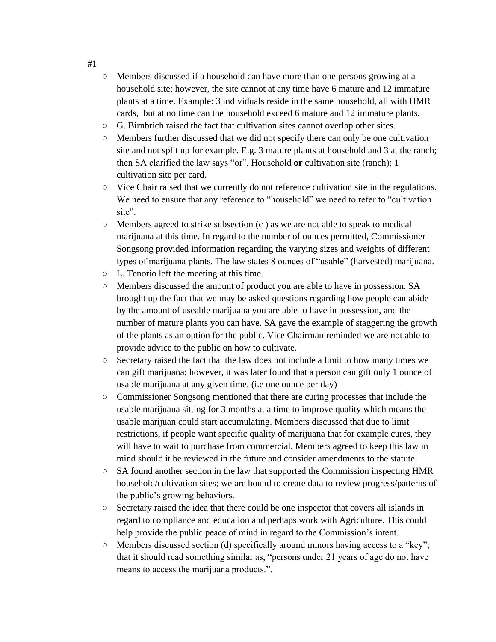- Members discussed if a household can have more than one persons growing at a household site; however, the site cannot at any time have 6 mature and 12 immature plants at a time. Example: 3 individuals reside in the same household, all with HMR cards, but at no time can the household exceed 6 mature and 12 immature plants.
- $\circ$  G. Birnbrich raised the fact that cultivation sites cannot overlap other sites.
- Members further discussed that we did not specify there can only be one cultivation site and not split up for example. E.g. 3 mature plants at household and 3 at the ranch; then SA clarified the law says "or". Household **or** cultivation site (ranch); 1 cultivation site per card.
- Vice Chair raised that we currently do not reference cultivation site in the regulations. We need to ensure that any reference to "household" we need to refer to "cultivation site".
- $\circ$  Members agreed to strike subsection (c) as we are not able to speak to medical marijuana at this time. In regard to the number of ounces permitted, Commissioner Songsong provided information regarding the varying sizes and weights of different types of marijuana plants. The law states 8 ounces of "usable" (harvested) marijuana.
- L. Tenorio left the meeting at this time.
- Members discussed the amount of product you are able to have in possession. SA brought up the fact that we may be asked questions regarding how people can abide by the amount of useable marijuana you are able to have in possession, and the number of mature plants you can have. SA gave the example of staggering the growth of the plants as an option for the public. Vice Chairman reminded we are not able to provide advice to the public on how to cultivate.
- Secretary raised the fact that the law does not include a limit to how many times we can gift marijuana; however, it was later found that a person can gift only 1 ounce of usable marijuana at any given time. (i.e one ounce per day)
- Commissioner Songsong mentioned that there are curing processes that include the usable marijuana sitting for 3 months at a time to improve quality which means the usable marijuan could start accumulating. Members discussed that due to limit restrictions, if people want specific quality of marijuana that for example cures, they will have to wait to purchase from commercial. Members agreed to keep this law in mind should it be reviewed in the future and consider amendments to the statute.
- $\circ$  SA found another section in the law that supported the Commission inspecting HMR household/cultivation sites; we are bound to create data to review progress/patterns of the public's growing behaviors.
- Secretary raised the idea that there could be one inspector that covers all islands in regard to compliance and education and perhaps work with Agriculture. This could help provide the public peace of mind in regard to the Commission's intent.
- $\circ$  Members discussed section (d) specifically around minors having access to a "key"; that it should read something similar as, "persons under 21 years of age do not have means to access the marijuana products.".

#1